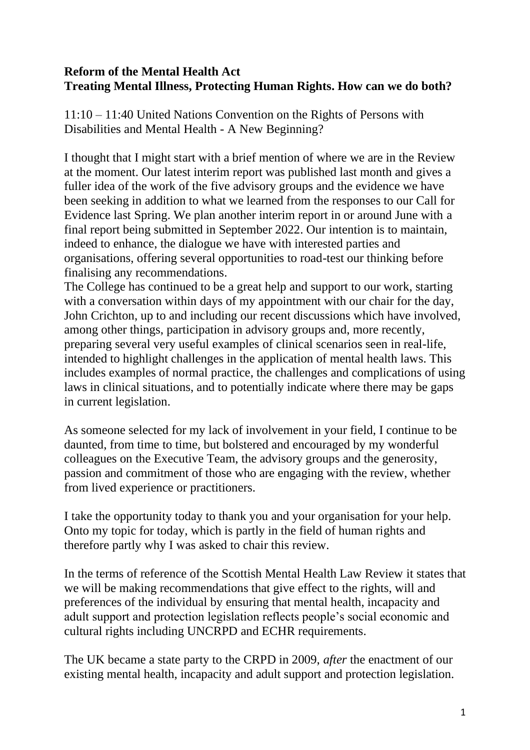### **Reform of the Mental Health Act Treating Mental Illness, Protecting Human Rights. How can we do both?**

11:10 – 11:40 United Nations Convention on the Rights of Persons with Disabilities and Mental Health - A New Beginning?

I thought that I might start with a brief mention of where we are in the Review at the moment. Our latest interim report was published last month and gives a fuller idea of the work of the five advisory groups and the evidence we have been seeking in addition to what we learned from the responses to our Call for Evidence last Spring. We plan another interim report in or around June with a final report being submitted in September 2022. Our intention is to maintain, indeed to enhance, the dialogue we have with interested parties and organisations, offering several opportunities to road-test our thinking before finalising any recommendations.

The College has continued to be a great help and support to our work, starting with a conversation within days of my appointment with our chair for the day, John Crichton, up to and including our recent discussions which have involved, among other things, participation in advisory groups and, more recently, preparing several very useful examples of clinical scenarios seen in real-life, intended to highlight challenges in the application of mental health laws. This includes examples of normal practice, the challenges and complications of using laws in clinical situations, and to potentially indicate where there may be gaps in current legislation.

As someone selected for my lack of involvement in your field, I continue to be daunted, from time to time, but bolstered and encouraged by my wonderful colleagues on the Executive Team, the advisory groups and the generosity, passion and commitment of those who are engaging with the review, whether from lived experience or practitioners.

I take the opportunity today to thank you and your organisation for your help. Onto my topic for today, which is partly in the field of human rights and therefore partly why I was asked to chair this review.

In the terms of reference of the Scottish Mental Health Law Review it states that we will be making recommendations that give effect to the rights, will and preferences of the individual by ensuring that mental health, incapacity and adult support and protection legislation reflects people's social economic and cultural rights including UNCRPD and ECHR requirements.

The UK became a state party to the CRPD in 2009, *after* the enactment of our existing mental health, incapacity and adult support and protection legislation.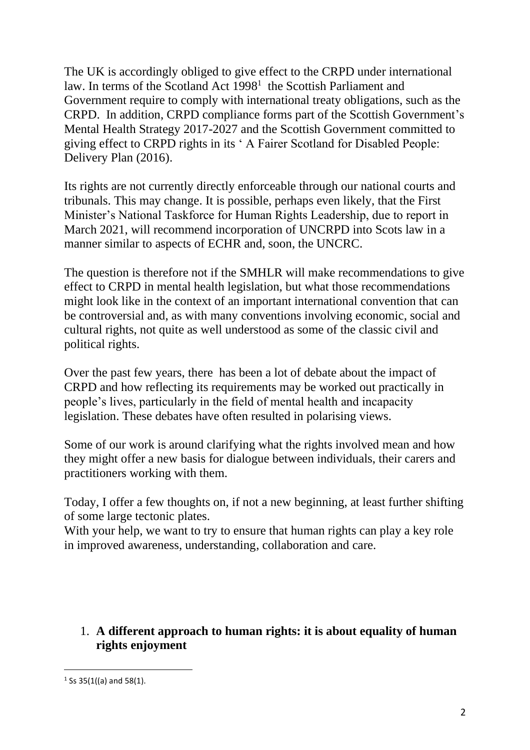The UK is accordingly obliged to give effect to the CRPD under international law. In terms of the Scotland Act  $1998<sup>1</sup>$  the Scottish Parliament and Government require to comply with international treaty obligations, such as the CRPD. In addition, CRPD compliance forms part of the Scottish Government's Mental Health Strategy 2017-2027 and the Scottish Government committed to giving effect to CRPD rights in its ' A Fairer Scotland for Disabled People: Delivery Plan (2016).

Its rights are not currently directly enforceable through our national courts and tribunals. This may change. It is possible, perhaps even likely, that the First Minister's National Taskforce for Human Rights Leadership, due to report in March 2021, will recommend incorporation of UNCRPD into Scots law in a manner similar to aspects of ECHR and, soon, the UNCRC.

The question is therefore not if the SMHLR will make recommendations to give effect to CRPD in mental health legislation, but what those recommendations might look like in the context of an important international convention that can be controversial and, as with many conventions involving economic, social and cultural rights, not quite as well understood as some of the classic civil and political rights.

Over the past few years, there has been a lot of debate about the impact of CRPD and how reflecting its requirements may be worked out practically in people's lives, particularly in the field of mental health and incapacity legislation. These debates have often resulted in polarising views.

Some of our work is around clarifying what the rights involved mean and how they might offer a new basis for dialogue between individuals, their carers and practitioners working with them.

Today, I offer a few thoughts on, if not a new beginning, at least further shifting of some large tectonic plates.

With your help, we want to try to ensure that human rights can play a key role in improved awareness, understanding, collaboration and care.

1. **A different approach to human rights: it is about equality of human rights enjoyment** 

 $1$  Ss 35(1((a) and 58(1).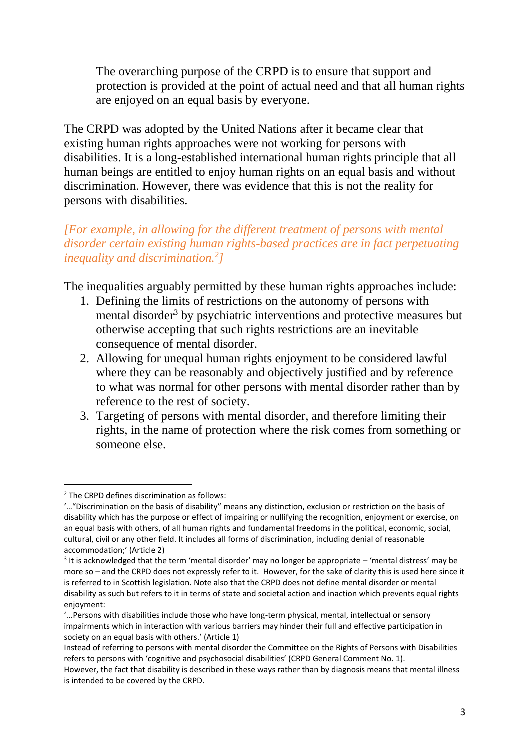The overarching purpose of the CRPD is to ensure that support and protection is provided at the point of actual need and that all human rights are enjoyed on an equal basis by everyone.

The CRPD was adopted by the United Nations after it became clear that existing human rights approaches were not working for persons with disabilities. It is a long-established international human rights principle that all human beings are entitled to enjoy human rights on an equal basis and without discrimination. However, there was evidence that this is not the reality for persons with disabilities.

### *[For example, in allowing for the different treatment of persons with mental disorder certain existing human rights-based practices are in fact perpetuating inequality and discrimination.<sup>2</sup> ]*

The inequalities arguably permitted by these human rights approaches include:

- 1. Defining the limits of restrictions on the autonomy of persons with mental disorder<sup>3</sup> by psychiatric interventions and protective measures but otherwise accepting that such rights restrictions are an inevitable consequence of mental disorder.
- 2. Allowing for unequal human rights enjoyment to be considered lawful where they can be reasonably and objectively justified and by reference to what was normal for other persons with mental disorder rather than by reference to the rest of society.
- 3. Targeting of persons with mental disorder, and therefore limiting their rights, in the name of protection where the risk comes from something or someone else.

<sup>2</sup> The CRPD defines discrimination as follows:

<sup>&#</sup>x27;…"Discrimination on the basis of disability" means any distinction, exclusion or restriction on the basis of disability which has the purpose or effect of impairing or nullifying the recognition, enjoyment or exercise, on an equal basis with others, of all human rights and fundamental freedoms in the political, economic, social, cultural, civil or any other field. It includes all forms of discrimination, including denial of reasonable accommodation;' (Article 2)

 $3$  It is acknowledged that the term 'mental disorder' may no longer be appropriate – 'mental distress' may be more so – and the CRPD does not expressly refer to it. However, for the sake of clarity this is used here since it is referred to in Scottish legislation. Note also that the CRPD does not define mental disorder or mental disability as such but refers to it in terms of state and societal action and inaction which prevents equal rights enjoyment:

<sup>&#</sup>x27;...Persons with disabilities include those who have long-term physical, mental, intellectual or sensory impairments which in interaction with various barriers may hinder their full and effective participation in society on an equal basis with others.' (Article 1)

Instead of referring to persons with mental disorder the Committee on the Rights of Persons with Disabilities refers to persons with 'cognitive and psychosocial disabilities' (CRPD General Comment No. 1).

However, the fact that disability is described in these ways rather than by diagnosis means that mental illness is intended to be covered by the CRPD.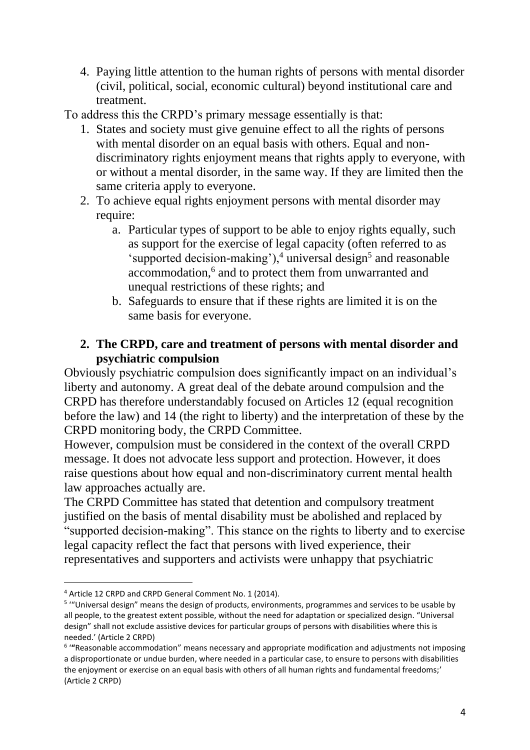4. Paying little attention to the human rights of persons with mental disorder (civil, political, social, economic cultural) beyond institutional care and treatment.

To address this the CRPD's primary message essentially is that:

- 1. States and society must give genuine effect to all the rights of persons with mental disorder on an equal basis with others. Equal and nondiscriminatory rights enjoyment means that rights apply to everyone, with or without a mental disorder, in the same way. If they are limited then the same criteria apply to everyone.
- 2. To achieve equal rights enjoyment persons with mental disorder may require:
	- a. Particular types of support to be able to enjoy rights equally, such as support for the exercise of legal capacity (often referred to as 'supported decision-making'), $4$  universal design<sup>5</sup> and reasonable accommodation,<sup>6</sup> and to protect them from unwarranted and unequal restrictions of these rights; and
	- b. Safeguards to ensure that if these rights are limited it is on the same basis for everyone.

## **2. The CRPD, care and treatment of persons with mental disorder and psychiatric compulsion**

Obviously psychiatric compulsion does significantly impact on an individual's liberty and autonomy. A great deal of the debate around compulsion and the CRPD has therefore understandably focused on Articles 12 (equal recognition before the law) and 14 (the right to liberty) and the interpretation of these by the CRPD monitoring body, the CRPD Committee.

However, compulsion must be considered in the context of the overall CRPD message. It does not advocate less support and protection. However, it does raise questions about how equal and non-discriminatory current mental health law approaches actually are.

The CRPD Committee has stated that detention and compulsory treatment justified on the basis of mental disability must be abolished and replaced by "supported decision-making". This stance on the rights to liberty and to exercise legal capacity reflect the fact that persons with lived experience, their representatives and supporters and activists were unhappy that psychiatric

<sup>4</sup> Article 12 CRPD and CRPD General Comment No. 1 (2014).

<sup>&</sup>lt;sup>5</sup> "Universal design" means the design of products, environments, programmes and services to be usable by all people, to the greatest extent possible, without the need for adaptation or specialized design. "Universal design" shall not exclude assistive devices for particular groups of persons with disabilities where this is needed.' (Article 2 CRPD)

<sup>6</sup> '**"**Reasonable accommodation" means necessary and appropriate modification and adjustments not imposing a disproportionate or undue burden, where needed in a particular case, to ensure to persons with disabilities the enjoyment or exercise on an equal basis with others of all human rights and fundamental freedoms;' (Article 2 CRPD)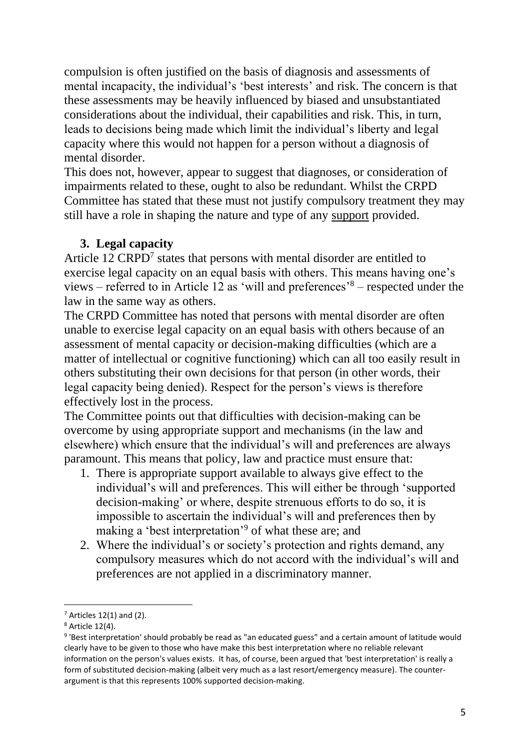compulsion is often justified on the basis of diagnosis and assessments of mental incapacity, the individual's 'best interests' and risk. The concern is that these assessments may be heavily influenced by biased and unsubstantiated considerations about the individual, their capabilities and risk. This, in turn, leads to decisions being made which limit the individual's liberty and legal capacity where this would not happen for a person without a diagnosis of mental disorder.

This does not, however, appear to suggest that diagnoses, or consideration of impairments related to these, ought to also be redundant. Whilst the CRPD Committee has stated that these must not justify compulsory treatment they may still have a role in shaping the nature and type of any support provided.

#### **3. Legal capacity**

Article  $12 \text{ CRPD}^7$  states that persons with mental disorder are entitled to exercise legal capacity on an equal basis with others. This means having one's views – referred to in Article 12 as 'will and preferences'<sup>8</sup> – respected under the law in the same way as others.

The CRPD Committee has noted that persons with mental disorder are often unable to exercise legal capacity on an equal basis with others because of an assessment of mental capacity or decision-making difficulties (which are a matter of intellectual or cognitive functioning) which can all too easily result in others substituting their own decisions for that person (in other words, their legal capacity being denied). Respect for the person's views is therefore effectively lost in the process.

The Committee points out that difficulties with decision-making can be overcome by using appropriate support and mechanisms (in the law and elsewhere) which ensure that the individual's will and preferences are always paramount. This means that policy, law and practice must ensure that:

- 1. There is appropriate support available to always give effect to the individual's will and preferences. This will either be through 'supported decision-making' or where, despite strenuous efforts to do so, it is impossible to ascertain the individual's will and preferences then by making a 'best interpretation'<sup>9</sup> of what these are; and
- 2. Where the individual's or society's protection and rights demand, any compulsory measures which do not accord with the individual's will and preferences are not applied in a discriminatory manner.

 $<sup>7</sup>$  Articles 12(1) and (2).</sup>

<sup>8</sup> Article 12(4).

<sup>&</sup>lt;sup>9</sup> 'Best interpretation' should probably be read as "an educated guess" and a certain amount of latitude would clearly have to be given to those who have make this best interpretation where no reliable relevant information on the person's values exists. It has, of course, been argued that 'best interpretation' is really a form of substituted decision-making (albeit very much as a last resort/emergency measure). The counterargument is that this represents 100% supported decision-making.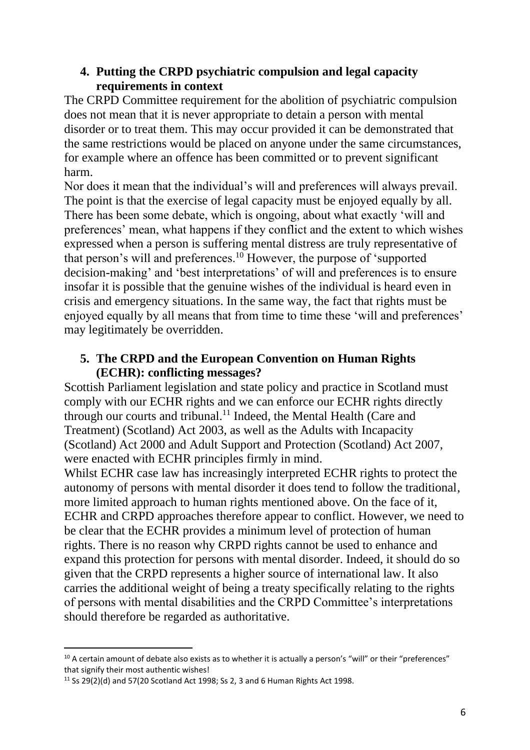### **4. Putting the CRPD psychiatric compulsion and legal capacity requirements in context**

The CRPD Committee requirement for the abolition of psychiatric compulsion does not mean that it is never appropriate to detain a person with mental disorder or to treat them. This may occur provided it can be demonstrated that the same restrictions would be placed on anyone under the same circumstances, for example where an offence has been committed or to prevent significant harm.

Nor does it mean that the individual's will and preferences will always prevail. The point is that the exercise of legal capacity must be enjoyed equally by all. There has been some debate, which is ongoing, about what exactly 'will and preferences' mean, what happens if they conflict and the extent to which wishes expressed when a person is suffering mental distress are truly representative of that person's will and preferences.<sup>10</sup> However, the purpose of 'supported decision-making' and 'best interpretations' of will and preferences is to ensure insofar it is possible that the genuine wishes of the individual is heard even in crisis and emergency situations. In the same way, the fact that rights must be enjoyed equally by all means that from time to time these 'will and preferences' may legitimately be overridden.

## **5. The CRPD and the European Convention on Human Rights (ECHR): conflicting messages?**

Scottish Parliament legislation and state policy and practice in Scotland must comply with our ECHR rights and we can enforce our ECHR rights directly through our courts and tribunal.<sup>11</sup> Indeed, the Mental Health (Care and Treatment) (Scotland) Act 2003, as well as the Adults with Incapacity (Scotland) Act 2000 and Adult Support and Protection (Scotland) Act 2007, were enacted with ECHR principles firmly in mind.

Whilst ECHR case law has increasingly interpreted ECHR rights to protect the autonomy of persons with mental disorder it does tend to follow the traditional, more limited approach to human rights mentioned above. On the face of it, ECHR and CRPD approaches therefore appear to conflict. However, we need to be clear that the ECHR provides a minimum level of protection of human rights. There is no reason why CRPD rights cannot be used to enhance and expand this protection for persons with mental disorder. Indeed, it should do so given that the CRPD represents a higher source of international law. It also carries the additional weight of being a treaty specifically relating to the rights of persons with mental disabilities and the CRPD Committee's interpretations should therefore be regarded as authoritative.

 $10$  A certain amount of debate also exists as to whether it is actually a person's "will" or their "preferences" that signify their most authentic wishes!

<sup>&</sup>lt;sup>11</sup> Ss 29(2)(d) and 57(20 Scotland Act 1998; Ss 2, 3 and 6 Human Rights Act 1998.